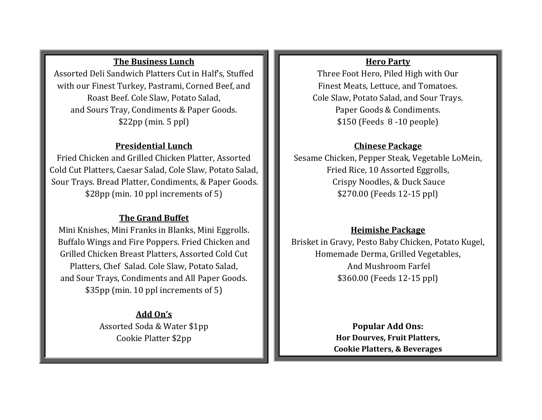## **The Business Lunch**

Assorted Deli Sandwich Platters Cut in Half's, Stuffed with our Finest Turkey, Pastrami, Corned Beef, and Roast Beef. Cole Slaw, Potato Salad, and Sours Tray, Condiments & Paper Goods. \$22pp (min. 5 ppl)

### **Presidential Lunch**

Fried Chicken and Grilled Chicken Platter, Assorted Cold Cut Platters, Caesar Salad, Cole Slaw, Potato Salad, Sour Trays. Bread Platter, Condiments, & Paper Goods. \$28pp (min. 10 ppl increments of 5)

# **The Grand Buffet**

Mini Knishes, Mini Franks in Blanks, Mini Eggrolls. Buffalo Wings and Fire Poppers. Fried Chicken and Grilled Chicken Breast Platters, Assorted Cold Cut Platters, Chef Salad. Cole Slaw, Potato Salad, and Sour Trays, Condiments and All Paper Goods. \$35pp (min. 10 ppl increments of 5)

> **Add On's** Assorted Soda & Water \$1pp Cookie Platter \$2pp

# **Hero Party**

Three Foot Hero, Piled High with Our Finest Meats, Lettuce, and Tomatoes. Cole Slaw, Potato Salad, and Sour Trays. Paper Goods & Condiments. \$150 (Feeds 8 -10 people)

#### **Chinese Package**

Sesame Chicken, Pepper Steak, Vegetable LoMein, Fried Rice, 10 Assorted Eggrolls, Crispy Noodles, & Duck Sauce \$270.00 (Feeds 12-15 ppl)

### **Heimishe Package**

Brisket in Gravy, Pesto Baby Chicken, Potato Kugel, Homemade Derma, Grilled Vegetables, And Mushroom Farfel \$360.00 (Feeds 12-15 ppl)

> **Popular Add Ons: Hor Dourves, Fruit Platters, Cookie Platters, & Beverages**